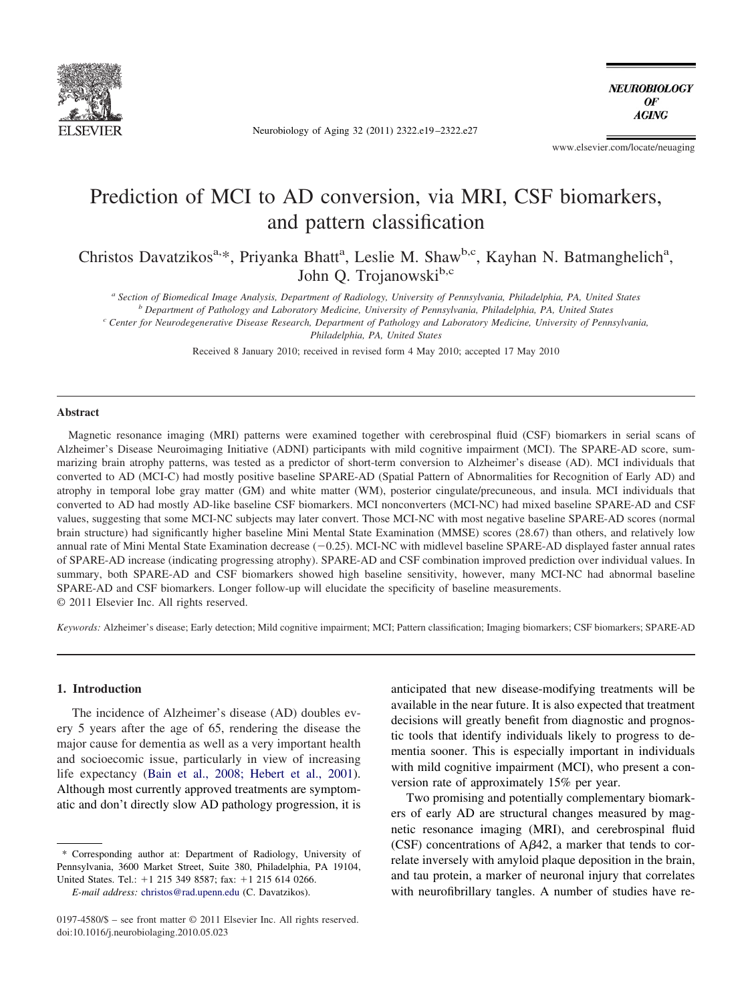

Neurobiology of Aging 32 (2011) 2322.e19 –2322.e27

**NEUROBIOLOGY**  $\theta$ F **AGING** 

www.elsevier.com/locate/neuaging

# Prediction of MCI to AD conversion, via MRI, CSF biomarkers, and pattern classification

Christos Davatzikos<sup>a, \*</sup>, Priyanka Bhatt<sup>a</sup>, Leslie M. Shaw<sup>b, c</sup>, Kayhan N. Batmanghelich<sup>a</sup>, John Q. Trojanowski<sup>b,c</sup>

*<sup>a</sup> Section of Biomedical Image Analysis, Department of Radiology, University of Pennsylvania, Philadelphia, PA, United States*

*<sup>b</sup> Department of Pathology and Laboratory Medicine, University of Pennsylvania, Philadelphia, PA, United States*

*<sup>c</sup> Center for Neurodegenerative Disease Research, Department of Pathology and Laboratory Medicine, University of Pennsylvania, Philadelphia, PA, United States*

Received 8 January 2010; received in revised form 4 May 2010; accepted 17 May 2010

## **Abstract**

Magnetic resonance imaging (MRI) patterns were examined together with cerebrospinal fluid (CSF) biomarkers in serial scans of Alzheimer's Disease Neuroimaging Initiative (ADNI) participants with mild cognitive impairment (MCI). The SPARE-AD score, summarizing brain atrophy patterns, was tested as a predictor of short-term conversion to Alzheimer's disease (AD). MCI individuals that converted to AD (MCI-C) had mostly positive baseline SPARE-AD (Spatial Pattern of Abnormalities for Recognition of Early AD) and atrophy in temporal lobe gray matter (GM) and white matter (WM), posterior cingulate/precuneous, and insula. MCI individuals that converted to AD had mostly AD-like baseline CSF biomarkers. MCI nonconverters (MCI-NC) had mixed baseline SPARE-AD and CSF values, suggesting that some MCI-NC subjects may later convert. Those MCI-NC with most negative baseline SPARE-AD scores (normal brain structure) had significantly higher baseline Mini Mental State Examination (MMSE) scores (28.67) than others, and relatively low annual rate of Mini Mental State Examination decrease  $(-0.25)$ . MCI-NC with midlevel baseline SPARE-AD displayed faster annual rates of SPARE-AD increase (indicating progressing atrophy). SPARE-AD and CSF combination improved prediction over individual values. In summary, both SPARE-AD and CSF biomarkers showed high baseline sensitivity, however, many MCI-NC had abnormal baseline SPARE-AD and CSF biomarkers. Longer follow-up will elucidate the specificity of baseline measurements. © 2011 Elsevier Inc. All rights reserved.

*Keywords:* Alzheimer's disease; Early detection; Mild cognitive impairment; MCI; Pattern classification; Imaging biomarkers; CSF biomarkers; SPARE-AD

# **1. Introduction**

The incidence of Alzheimer's disease (AD) doubles every 5 years after the age of 65, rendering the disease the major cause for dementia as well as a very important health and socioecomic issue, particularly in view of increasing life expectancy (Bain et al., 2008; Hebert et al., 2001). Although most currently approved treatments are symptomatic and don't directly slow AD pathology progression, it is anticipated that new disease-modifying treatments will be available in the near future. It is also expected that treatment decisions will greatly benefit from diagnostic and prognostic tools that identify individuals likely to progress to dementia sooner. This is especially important in individuals with mild cognitive impairment (MCI), who present a conversion rate of approximately 15% per year.

Two promising and potentially complementary biomarkers of early AD are structural changes measured by magnetic resonance imaging (MRI), and cerebrospinal fluid (CSF) concentrations of  $A\beta42$ , a marker that tends to correlate inversely with amyloid plaque deposition in the brain, and tau protein, a marker of neuronal injury that correlates with neurofibrillary tangles. A number of studies have re-

<sup>\*</sup> Corresponding author at: Department of Radiology, University of Pennsylvania, 3600 Market Street, Suite 380, Philadelphia, PA 19104, United States. Tel.: +1 215 349 8587; fax: +1 215 614 0266.

*E-mail address:* [christos@rad.upenn.edu](mailto:christos@rad.upenn.edu) (C. Davatzikos).

<sup>0197-4580/\$ –</sup> see front matter © 2011 Elsevier Inc. All rights reserved. doi:10.1016/j.neurobiolaging.2010.05.023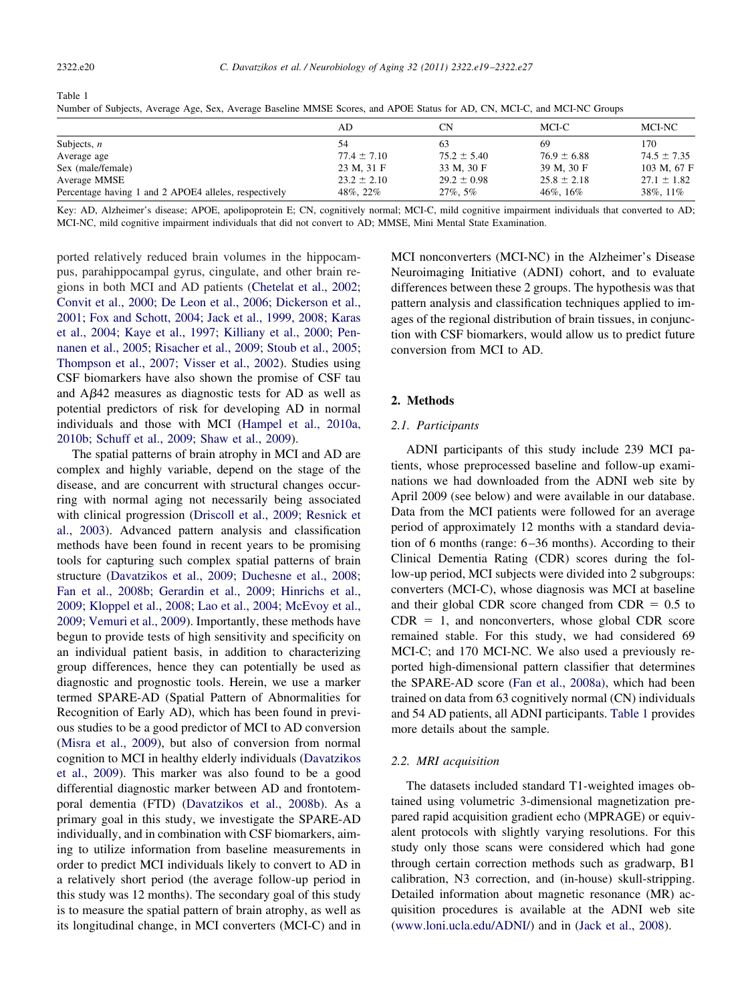Table 1

| AD              | CΝ              | MCI-C           | MCI-NC          |
|-----------------|-----------------|-----------------|-----------------|
| 54              | 63              | 69              | 170             |
| $77.4 \pm 7.10$ | $75.2 \pm 5.40$ | $76.9 \pm 6.88$ | $74.5 \pm 7.35$ |
| 23 M, 31 F      | 33 M, 30 F      | 39 M, 30 F      | 103 M, 67 F     |
| $23.2 \pm 2.10$ | $29.2 \pm 0.98$ | $25.8 \pm 2.18$ | $27.1 \pm 1.82$ |
| 48\%, 22\%      | $27\%$ , 5%     | $46\%$ , $16\%$ | 38%, 11%        |
|                 |                 |                 |                 |

Number of Subjects, Average Age, Sex, Average Baseline MMSE Scores, and APOE Status for AD, CN, MCI-C, and MCI-NC Groups

Key: AD, Alzheimer's disease; APOE, apolipoprotein E; CN, cognitively normal; MCI-C, mild cognitive impairment individuals that converted to AD; MCI-NC, mild cognitive impairment individuals that did not convert to AD; MMSE, Mini Mental State Examination.

ported relatively reduced brain volumes in the hippocampus, parahippocampal gyrus, cingulate, and other brain regions in both MCI and AD patients (Chetelat et al., 2002; Convit et al., 2000; De Leon et al., 2006; Dickerson et al., 2001; Fox and Schott, 2004; Jack et al., 1999, 2008; Karas et al., 2004; Kaye et al., 1997; Killiany et al., 2000; Pennanen et al., 2005; Risacher et al., 2009; Stoub et al., 2005; Thompson et al., 2007; Visser et al., 2002). Studies using CSF biomarkers have also shown the promise of CSF tau and  $A\beta42$  measures as diagnostic tests for AD as well as potential predictors of risk for developing AD in normal individuals and those with MCI (Hampel et al., 2010a, 2010b; Schuff et al., 2009; Shaw et al., 2009).

The spatial patterns of brain atrophy in MCI and AD are complex and highly variable, depend on the stage of the disease, and are concurrent with structural changes occurring with normal aging not necessarily being associated with clinical progression (Driscoll et al., 2009; Resnick et al., 2003). Advanced pattern analysis and classification methods have been found in recent years to be promising tools for capturing such complex spatial patterns of brain structure (Davatzikos et al., 2009; Duchesne et al., 2008; Fan et al., 2008b; Gerardin et al., 2009; Hinrichs et al., 2009; Kloppel et al., 2008; Lao et al., 2004; McEvoy et al., 2009; Vemuri et al., 2009). Importantly, these methods have begun to provide tests of high sensitivity and specificity on an individual patient basis, in addition to characterizing group differences, hence they can potentially be used as diagnostic and prognostic tools. Herein, we use a marker termed SPARE-AD (Spatial Pattern of Abnormalities for Recognition of Early AD), which has been found in previous studies to be a good predictor of MCI to AD conversion (Misra et al., 2009), but also of conversion from normal cognition to MCI in healthy elderly individuals (Davatzikos et al., 2009). This marker was also found to be a good differential diagnostic marker between AD and frontotemporal dementia (FTD) (Davatzikos et al., 2008b). As a primary goal in this study, we investigate the SPARE-AD individually, and in combination with CSF biomarkers, aiming to utilize information from baseline measurements in order to predict MCI individuals likely to convert to AD in a relatively short period (the average follow-up period in this study was 12 months). The secondary goal of this study is to measure the spatial pattern of brain atrophy, as well as its longitudinal change, in MCI converters (MCI-C) and in MCI nonconverters (MCI-NC) in the Alzheimer's Disease Neuroimaging Initiative (ADNI) cohort, and to evaluate differences between these 2 groups. The hypothesis was that pattern analysis and classification techniques applied to images of the regional distribution of brain tissues, in conjunction with CSF biomarkers, would allow us to predict future conversion from MCI to AD.

# **2. Methods**

# *2.1. Participants*

ADNI participants of this study include 239 MCI patients, whose preprocessed baseline and follow-up examinations we had downloaded from the ADNI web site by April 2009 (see below) and were available in our database. Data from the MCI patients were followed for an average period of approximately 12 months with a standard deviation of 6 months (range: 6 –36 months). According to their Clinical Dementia Rating (CDR) scores during the follow-up period, MCI subjects were divided into 2 subgroups: converters (MCI-C), whose diagnosis was MCI at baseline and their global CDR score changed from CDR  $= 0.5$  to  $CDR = 1$ , and nonconverters, whose global CDR score remained stable. For this study, we had considered 69 MCI-C; and 170 MCI-NC. We also used a previously reported high-dimensional pattern classifier that determines the SPARE-AD score (Fan et al., 2008a), which had been trained on data from 63 cognitively normal (CN) individuals and 54 AD patients, all ADNI participants. Table 1 provides more details about the sample.

#### *2.2. MRI acquisition*

The datasets included standard T1-weighted images obtained using volumetric 3-dimensional magnetization prepared rapid acquisition gradient echo (MPRAGE) or equivalent protocols with slightly varying resolutions. For this study only those scans were considered which had gone through certain correction methods such as gradwarp, B1 calibration, N3 correction, and (in-house) skull-stripping. Detailed information about magnetic resonance (MR) acquisition procedures is available at the ADNI web site [\(www.loni.ucla.edu/ADNI/\)](http://www.loni.ucla.edu/ADNI/) and in (Jack et al., 2008).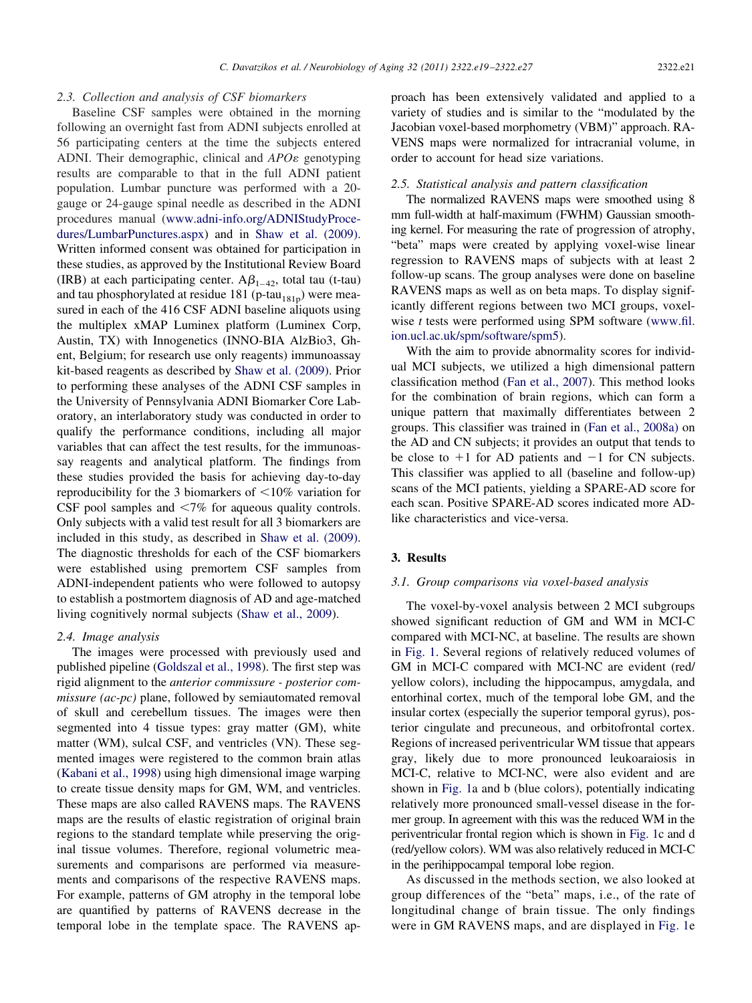# *2.3. Collection and analysis of CSF biomarkers*

Baseline CSF samples were obtained in the morning following an overnight fast from ADNI subjects enrolled at 56 participating centers at the time the subjects entered ADNI. Their demographic, clinical and APO<sub>&</sub> genotyping results are comparable to that in the full ADNI patient population. Lumbar puncture was performed with a 20 gauge or 24-gauge spinal needle as described in the ADNI procedures manual [\(www.adni-info.org/ADNIStudyProce](http://www.adni-info.org/ADNIStudyProcedures/LumbarPunctures.aspx)[dures/LumbarPunctures.aspx\)](http://www.adni-info.org/ADNIStudyProcedures/LumbarPunctures.aspx) and in Shaw et al. (2009). Written informed consent was obtained for participation in these studies, as approved by the Institutional Review Board (IRB) at each participating center.  $A\beta_{1-42}$ , total tau (t-tau) and tau phosphorylated at residue 181 (p-tau<sub>181p</sub>) were measured in each of the 416 CSF ADNI baseline aliquots using the multiplex xMAP Luminex platform (Luminex Corp, Austin, TX) with Innogenetics (INNO-BIA AlzBio3, Ghent, Belgium; for research use only reagents) immunoassay kit-based reagents as described by Shaw et al. (2009). Prior to performing these analyses of the ADNI CSF samples in the University of Pennsylvania ADNI Biomarker Core Laboratory, an interlaboratory study was conducted in order to qualify the performance conditions, including all major variables that can affect the test results, for the immunoassay reagents and analytical platform. The findings from these studies provided the basis for achieving day-to-day reproducibility for the 3 biomarkers of  $\leq 10\%$  variation for CSF pool samples and  $\langle 7\%$  for aqueous quality controls. Only subjects with a valid test result for all 3 biomarkers are included in this study, as described in Shaw et al. (2009). The diagnostic thresholds for each of the CSF biomarkers were established using premortem CSF samples from ADNI-independent patients who were followed to autopsy to establish a postmortem diagnosis of AD and age-matched living cognitively normal subjects (Shaw et al., 2009).

## *2.4. Image analysis*

The images were processed with previously used and published pipeline (Goldszal et al., 1998). The first step was rigid alignment to the *anterior commissure - posterior commissure (ac-pc)* plane, followed by semiautomated removal of skull and cerebellum tissues. The images were then segmented into 4 tissue types: gray matter (GM), white matter (WM), sulcal CSF, and ventricles (VN). These segmented images were registered to the common brain atlas (Kabani et al., 1998) using high dimensional image warping to create tissue density maps for GM, WM, and ventricles. These maps are also called RAVENS maps. The RAVENS maps are the results of elastic registration of original brain regions to the standard template while preserving the original tissue volumes. Therefore, regional volumetric measurements and comparisons are performed via measurements and comparisons of the respective RAVENS maps. For example, patterns of GM atrophy in the temporal lobe are quantified by patterns of RAVENS decrease in the temporal lobe in the template space. The RAVENS approach has been extensively validated and applied to a variety of studies and is similar to the "modulated by the Jacobian voxel-based morphometry (VBM)" approach. RA-VENS maps were normalized for intracranial volume, in order to account for head size variations.

#### *2.5. Statistical analysis and pattern classification*

The normalized RAVENS maps were smoothed using 8 mm full-width at half-maximum (FWHM) Gaussian smoothing kernel. For measuring the rate of progression of atrophy, "beta" maps were created by applying voxel-wise linear regression to RAVENS maps of subjects with at least 2 follow-up scans. The group analyses were done on baseline RAVENS maps as well as on beta maps. To display significantly different regions between two MCI groups, voxelwise *t* tests were performed using SPM software [\(www.fil.](http://www.fil.ion.ucl.ac.uk/spm/software/spm5) [ion.ucl.ac.uk/spm/software/spm5\)](http://www.fil.ion.ucl.ac.uk/spm/software/spm5).

With the aim to provide abnormality scores for individual MCI subjects, we utilized a high dimensional pattern classification method (Fan et al., 2007). This method looks for the combination of brain regions, which can form a unique pattern that maximally differentiates between 2 groups. This classifier was trained in (Fan et al., 2008a) on the AD and CN subjects; it provides an output that tends to be close to  $+1$  for AD patients and  $-1$  for CN subjects. This classifier was applied to all (baseline and follow-up) scans of the MCI patients, yielding a SPARE-AD score for each scan. Positive SPARE-AD scores indicated more ADlike characteristics and vice-versa.

## **3. Results**

#### *3.1. Group comparisons via voxel-based analysis*

The voxel-by-voxel analysis between 2 MCI subgroups showed significant reduction of GM and WM in MCI-C compared with MCI-NC, at baseline. The results are shown in Fig. 1. Several regions of relatively reduced volumes of GM in MCI-C compared with MCI-NC are evident (red/ yellow colors), including the hippocampus, amygdala, and entorhinal cortex, much of the temporal lobe GM, and the insular cortex (especially the superior temporal gyrus), posterior cingulate and precuneous, and orbitofrontal cortex. Regions of increased periventricular WM tissue that appears gray, likely due to more pronounced leukoaraiosis in MCI-C, relative to MCI-NC, were also evident and are shown in Fig. 1a and b (blue colors), potentially indicating relatively more pronounced small-vessel disease in the former group. In agreement with this was the reduced WM in the periventricular frontal region which is shown in Fig. 1c and d (red/yellow colors). WM was also relatively reduced in MCI-C in the perihippocampal temporal lobe region.

As discussed in the methods section, we also looked at group differences of the "beta" maps, i.e., of the rate of longitudinal change of brain tissue. The only findings were in GM RAVENS maps, and are displayed in Fig. 1e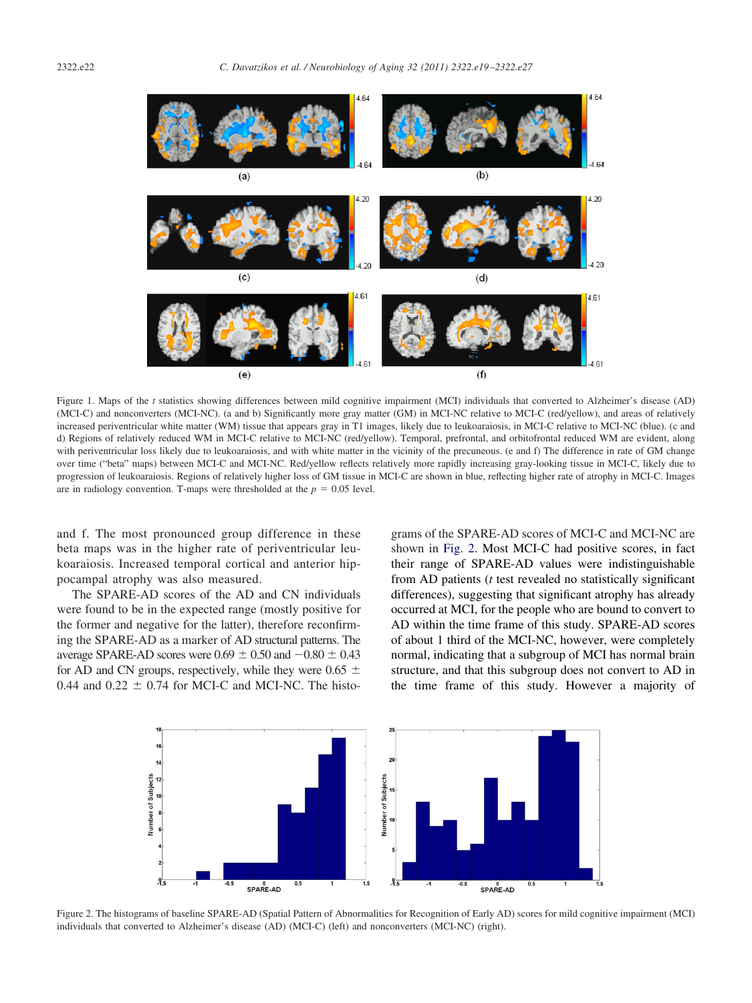

Figure 1. Maps of the *t* statistics showing differences between mild cognitive impairment (MCI) individuals that converted to Alzheimer's disease (AD) (MCI-C) and nonconverters (MCI-NC). (a and b) Significantly more gray matter (GM) in MCI-NC relative to MCI-C (red/yellow), and areas of relatively increased periventricular white matter (WM) tissue that appears gray in T1 images, likely due to leukoaraiosis, in MCI-C relative to MCI-NC (blue). (c and d) Regions of relatively reduced WM in MCI-C relative to MCI-NC (red/yellow). Temporal, prefrontal, and orbitofrontal reduced WM are evident, along with periventricular loss likely due to leukoaraiosis, and with white matter in the vicinity of the precuneous. (e and f) The difference in rate of GM change over time ("beta" maps) between MCI-C and MCI-NC. Red/yellow reflects relatively more rapidly increasing gray-looking tissue in MCI-C, likely due to progression of leukoaraiosis. Regions of relatively higher loss of GM tissue in MCI-C are shown in blue, reflecting higher rate of atrophy in MCI-C. Images are in radiology convention. T-maps were thresholded at the  $p = 0.05$  level.

and f. The most pronounced group difference in these beta maps was in the higher rate of periventricular leukoaraiosis. Increased temporal cortical and anterior hippocampal atrophy was also measured.

The SPARE-AD scores of the AD and CN individuals were found to be in the expected range (mostly positive for the former and negative for the latter), therefore reconfirming the SPARE-AD as a marker of AD structural patterns. The average SPARE-AD scores were  $0.69 \pm 0.50$  and  $-0.80 \pm 0.43$ for AD and CN groups, respectively, while they were 0.65  $\pm$ 0.44 and 0.22  $\pm$  0.74 for MCI-C and MCI-NC. The histograms of the SPARE-AD scores of MCI-C and MCI-NC are shown in Fig. 2. Most MCI-C had positive scores, in fact their range of SPARE-AD values were indistinguishable from AD patients (*t* test revealed no statistically significant differences), suggesting that significant atrophy has already occurred at MCI, for the people who are bound to convert to AD within the time frame of this study. SPARE-AD scores of about 1 third of the MCI-NC, however, were completely normal, indicating that a subgroup of MCI has normal brain structure, and that this subgroup does not convert to AD in the time frame of this study. However a majority of



Figure 2. The histograms of baseline SPARE-AD (Spatial Pattern of Abnormalities for Recognition of Early AD) scores for mild cognitive impairment (MCI) individuals that converted to Alzheimer's disease (AD) (MCI-C) (left) and nonconverters (MCI-NC) (right).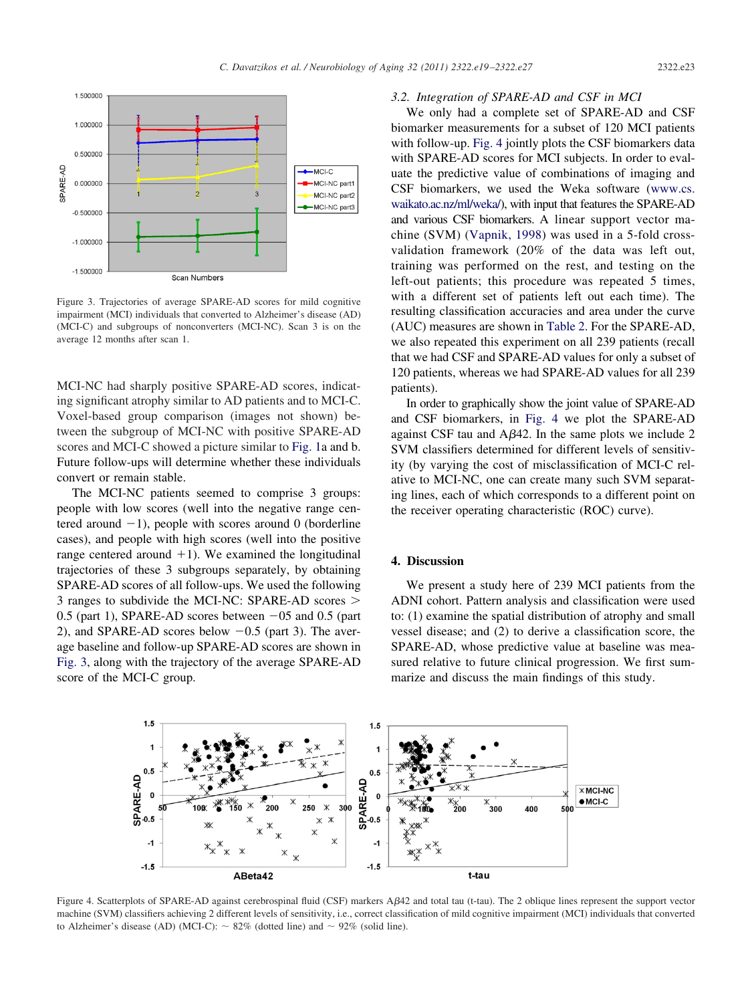

Figure 3. Trajectories of average SPARE-AD scores for mild cognitive impairment (MCI) individuals that converted to Alzheimer's disease (AD) (MCI-C) and subgroups of nonconverters (MCI-NC). Scan 3 is on the average 12 months after scan 1.

MCI-NC had sharply positive SPARE-AD scores, indicating significant atrophy similar to AD patients and to MCI-C. Voxel-based group comparison (images not shown) between the subgroup of MCI-NC with positive SPARE-AD scores and MCI-C showed a picture similar to Fig. 1a and b. Future follow-ups will determine whether these individuals convert or remain stable.

The MCI-NC patients seemed to comprise 3 groups: people with low scores (well into the negative range centered around  $-1$ ), people with scores around 0 (borderline cases), and people with high scores (well into the positive range centered around  $+1$ ). We examined the longitudinal trajectories of these 3 subgroups separately, by obtaining SPARE-AD scores of all follow-ups. We used the following 3 ranges to subdivide the MCI-NC: SPARE-AD scores 0.5 (part 1), SPARE-AD scores between  $-05$  and 0.5 (part 2), and SPARE-AD scores below  $-0.5$  (part 3). The average baseline and follow-up SPARE-AD scores are shown in Fig. 3, along with the trajectory of the average SPARE-AD score of the MCI-C group.

# *3.2. Integration of SPARE-AD and CSF in MCI*

We only had a complete set of SPARE-AD and CSF biomarker measurements for a subset of 120 MCI patients with follow-up. Fig. 4 jointly plots the CSF biomarkers data with SPARE-AD scores for MCI subjects. In order to evaluate the predictive value of combinations of imaging and CSF biomarkers, we used the Weka software [\(www.cs.](http://www.cs.waikato.ac.nz/ml/weka/) [waikato.ac.nz/ml/weka/\)](http://www.cs.waikato.ac.nz/ml/weka/), with input that features the SPARE-AD and various CSF biomarkers. A linear support vector machine (SVM) (Vapnik, 1998) was used in a 5-fold crossvalidation framework (20% of the data was left out, training was performed on the rest, and testing on the left-out patients; this procedure was repeated 5 times, with a different set of patients left out each time). The resulting classification accuracies and area under the curve (AUC) measures are shown in Table 2. For the SPARE-AD, we also repeated this experiment on all 239 patients (recall that we had CSF and SPARE-AD values for only a subset of 120 patients, whereas we had SPARE-AD values for all 239 patients).

In order to graphically show the joint value of SPARE-AD and CSF biomarkers, in Fig. 4 we plot the SPARE-AD against CSF tau and  $A\beta$ 42. In the same plots we include 2 SVM classifiers determined for different levels of sensitivity (by varying the cost of misclassification of MCI-C relative to MCI-NC, one can create many such SVM separating lines, each of which corresponds to a different point on the receiver operating characteristic (ROC) curve).

#### **4. Discussion**

We present a study here of 239 MCI patients from the ADNI cohort. Pattern analysis and classification were used to: (1) examine the spatial distribution of atrophy and small vessel disease; and (2) to derive a classification score, the SPARE-AD, whose predictive value at baseline was measured relative to future clinical progression. We first summarize and discuss the main findings of this study.



Figure 4. Scatterplots of SPARE-AD against cerebrospinal fluid (CSF) markers A42 and total tau (t-tau). The 2 oblique lines represent the support vector machine (SVM) classifiers achieving 2 different levels of sensitivity, i.e., correct classification of mild cognitive impairment (MCI) individuals that converted to Alzheimer's disease (AD) (MCI-C):  $\sim$  82% (dotted line) and  $\sim$  92% (solid line).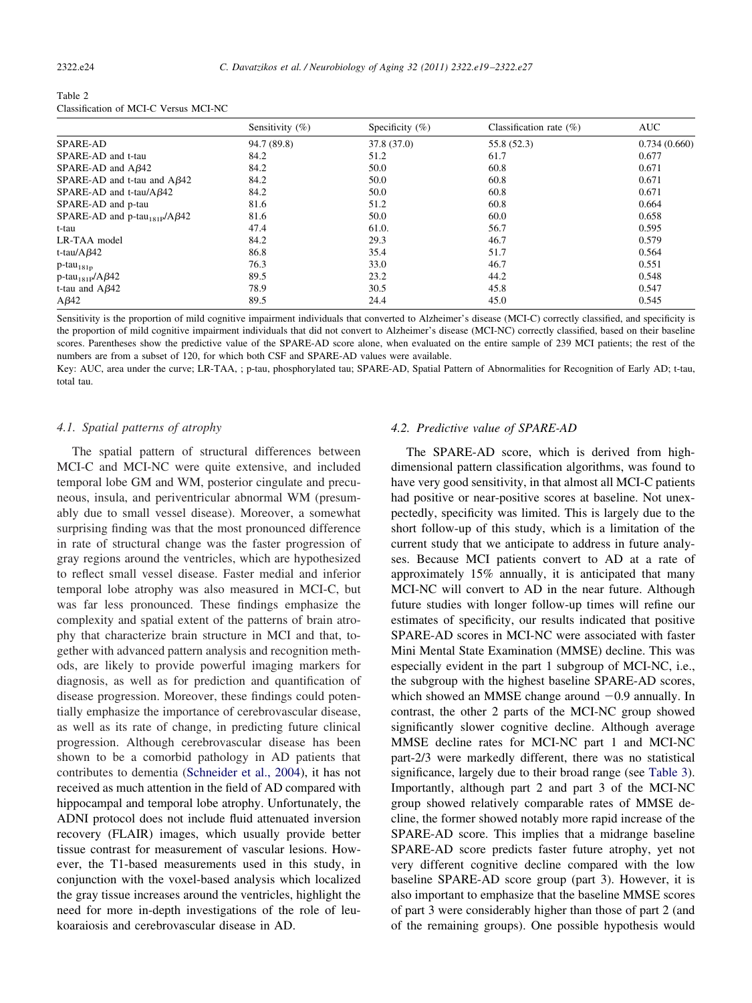| Table 2                               |  |
|---------------------------------------|--|
| Classification of MCI-C Versus MCI-NC |  |

|                                                     | Sensitivity $(\%)$ | Specificity $(\%)$ | Classification rate $(\% )$ | <b>AUC</b>   |
|-----------------------------------------------------|--------------------|--------------------|-----------------------------|--------------|
| <b>SPARE-AD</b>                                     | 94.7 (89.8)        | 37.8 (37.0)        | 55.8 (52.3)                 | 0.734(0.660) |
| SPARE-AD and t-tau                                  | 84.2               | 51.2               | 61.7                        | 0.677        |
| $SPARE-AD$ and $A\beta42$                           | 84.2               | 50.0               | 60.8                        | 0.671        |
| SPARE-AD and t-tau and $A\beta$ 42                  | 84.2               | 50.0               | 60.8                        | 0.671        |
| $SPARE-AD$ and t-tau/A $\beta$ 42                   | 84.2               | 50.0               | 60.8                        | 0.671        |
| SPARE-AD and p-tau                                  | 81.6               | 51.2               | 60.8                        | 0.664        |
| SPARE-AD and $p$ -tau <sub>181P</sub> /A $\beta$ 42 | 81.6               | 50.0               | 60.0                        | 0.658        |
| t-tau                                               | 47.4               | 61.0.              | 56.7                        | 0.595        |
| LR-TAA model                                        | 84.2               | 29.3               | 46.7                        | 0.579        |
| t-tau/A $\beta$ 42                                  | 86.8               | 35.4               | 51.7                        | 0.564        |
| $p$ -tau $_{181p}$                                  | 76.3               | 33.0               | 46.7                        | 0.551        |
| $p$ -tau <sub>181P</sub> /A $\beta$ 42              | 89.5               | 23.2               | 44.2                        | 0.548        |
| t-tau and $A\beta42$                                | 78.9               | 30.5               | 45.8                        | 0.547        |
| $A\beta 42$                                         | 89.5               | 24.4               | 45.0                        | 0.545        |

Sensitivity is the proportion of mild cognitive impairment individuals that converted to Alzheimer's disease (MCI-C) correctly classified, and specificity is the proportion of mild cognitive impairment individuals that did not convert to Alzheimer's disease (MCI-NC) correctly classified, based on their baseline scores. Parentheses show the predictive value of the SPARE-AD score alone, when evaluated on the entire sample of 239 MCI patients; the rest of the numbers are from a subset of 120, for which both CSF and SPARE-AD values were available.

Key: AUC, area under the curve; LR-TAA, ; p-tau, phosphorylated tau; SPARE-AD, Spatial Pattern of Abnormalities for Recognition of Early AD; t-tau, total tau.

## *4.1. Spatial patterns of atrophy*

The spatial pattern of structural differences between MCI-C and MCI-NC were quite extensive, and included temporal lobe GM and WM, posterior cingulate and precuneous, insula, and periventricular abnormal WM (presumably due to small vessel disease). Moreover, a somewhat surprising finding was that the most pronounced difference in rate of structural change was the faster progression of gray regions around the ventricles, which are hypothesized to reflect small vessel disease. Faster medial and inferior temporal lobe atrophy was also measured in MCI-C, but was far less pronounced. These findings emphasize the complexity and spatial extent of the patterns of brain atrophy that characterize brain structure in MCI and that, together with advanced pattern analysis and recognition methods, are likely to provide powerful imaging markers for diagnosis, as well as for prediction and quantification of disease progression. Moreover, these findings could potentially emphasize the importance of cerebrovascular disease, as well as its rate of change, in predicting future clinical progression. Although cerebrovascular disease has been shown to be a comorbid pathology in AD patients that contributes to dementia (Schneider et al., 2004), it has not received as much attention in the field of AD compared with hippocampal and temporal lobe atrophy. Unfortunately, the ADNI protocol does not include fluid attenuated inversion recovery (FLAIR) images, which usually provide better tissue contrast for measurement of vascular lesions. However, the T1-based measurements used in this study, in conjunction with the voxel-based analysis which localized the gray tissue increases around the ventricles, highlight the need for more in-depth investigations of the role of leukoaraiosis and cerebrovascular disease in AD.

## *4.2. Predictive value of SPARE-AD*

The SPARE-AD score, which is derived from highdimensional pattern classification algorithms, was found to have very good sensitivity, in that almost all MCI-C patients had positive or near-positive scores at baseline. Not unexpectedly, specificity was limited. This is largely due to the short follow-up of this study, which is a limitation of the current study that we anticipate to address in future analyses. Because MCI patients convert to AD at a rate of approximately 15% annually, it is anticipated that many MCI-NC will convert to AD in the near future. Although future studies with longer follow-up times will refine our estimates of specificity, our results indicated that positive SPARE-AD scores in MCI-NC were associated with faster Mini Mental State Examination (MMSE) decline. This was especially evident in the part 1 subgroup of MCI-NC, i.e., the subgroup with the highest baseline SPARE-AD scores, which showed an MMSE change around  $-0.9$  annually. In contrast, the other 2 parts of the MCI-NC group showed significantly slower cognitive decline. Although average MMSE decline rates for MCI-NC part 1 and MCI-NC part-2/3 were markedly different, there was no statistical significance, largely due to their broad range (see Table 3). Importantly, although part 2 and part 3 of the MCI-NC group showed relatively comparable rates of MMSE decline, the former showed notably more rapid increase of the SPARE-AD score. This implies that a midrange baseline SPARE-AD score predicts faster future atrophy, yet not very different cognitive decline compared with the low baseline SPARE-AD score group (part 3). However, it is also important to emphasize that the baseline MMSE scores of part 3 were considerably higher than those of part 2 (and of the remaining groups). One possible hypothesis would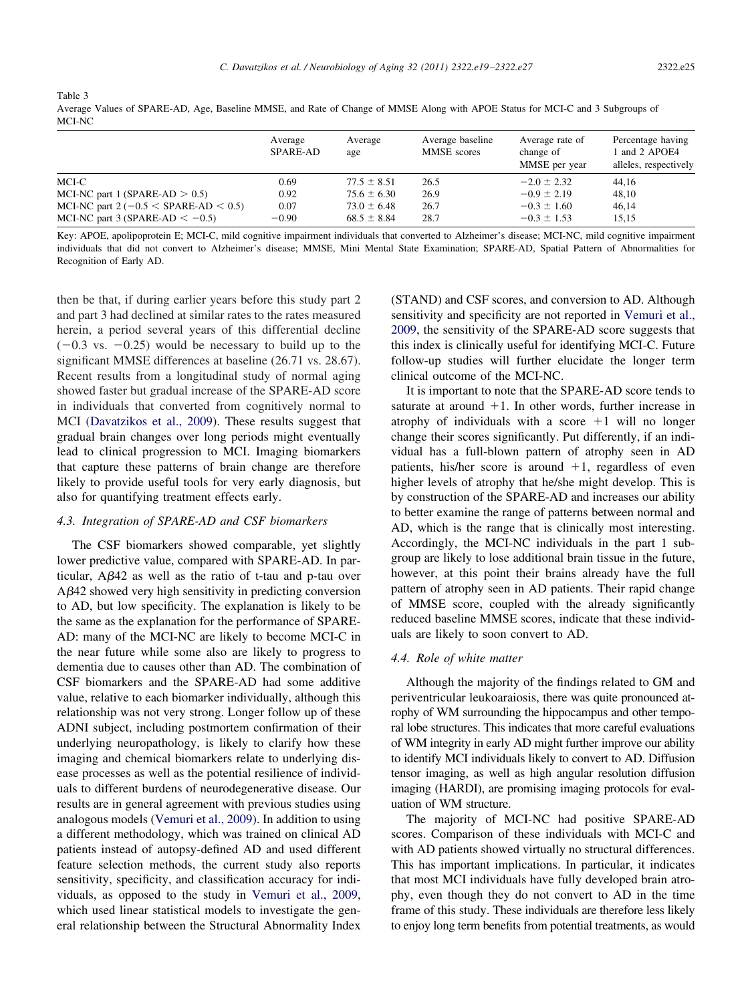Table 3

|                                            | Average<br>SPARE-AD | Average<br>age  | Average baseline<br>MMSE scores | Average rate of<br>change of<br>MMSE per year | Percentage having<br>1 and 2 APOE4<br>alleles, respectively |
|--------------------------------------------|---------------------|-----------------|---------------------------------|-----------------------------------------------|-------------------------------------------------------------|
| MCI-C                                      | 0.69                | $77.5 \pm 8.51$ | 26.5                            | $-2.0 \pm 2.32$                               | 44.16                                                       |
| MCI-NC part 1 (SPARE-AD $> 0.5$ )          | 0.92                | $75.6 \pm 6.30$ | 26.9                            | $-0.9 \pm 2.19$                               | 48.10                                                       |
| MCI-NC part $2 (-0.5 <$ SPARE-AD $< 0.5$ ) | 0.07                | $73.0 \pm 6.48$ | 26.7                            | $-0.3 \pm 1.60$                               | 46,14                                                       |
| MCI-NC part 3 (SPARE-AD $<-0.5$ )          | $-0.90$             | $68.5 \pm 8.84$ | 28.7                            | $-0.3 \pm 1.53$                               | 15,15                                                       |

Average Values of SPARE-AD, Age, Baseline MMSE, and Rate of Change of MMSE Along with APOE Status for MCI-C and 3 Subgroups of MCI-NC

Key: APOE, apolipoprotein E; MCI-C, mild cognitive impairment individuals that converted to Alzheimer's disease; MCI-NC, mild cognitive impairment individuals that did not convert to Alzheimer's disease; MMSE, Mini Mental State Examination; SPARE-AD, Spatial Pattern of Abnormalities for Recognition of Early AD.

then be that, if during earlier years before this study part 2 and part 3 had declined at similar rates to the rates measured herein, a period several years of this differential decline  $(-0.3 \text{ vs. } -0.25)$  would be necessary to build up to the significant MMSE differences at baseline (26.71 vs. 28.67). Recent results from a longitudinal study of normal aging showed faster but gradual increase of the SPARE-AD score in individuals that converted from cognitively normal to MCI (Davatzikos et al., 2009). These results suggest that gradual brain changes over long periods might eventually lead to clinical progression to MCI. Imaging biomarkers that capture these patterns of brain change are therefore likely to provide useful tools for very early diagnosis, but also for quantifying treatment effects early.

## *4.3. Integration of SPARE-AD and CSF biomarkers*

The CSF biomarkers showed comparable, yet slightly lower predictive value, compared with SPARE-AD. In particular,  $A\beta 42$  as well as the ratio of t-tau and p-tau over  $A\beta$ 42 showed very high sensitivity in predicting conversion to AD, but low specificity. The explanation is likely to be the same as the explanation for the performance of SPARE-AD: many of the MCI-NC are likely to become MCI-C in the near future while some also are likely to progress to dementia due to causes other than AD. The combination of CSF biomarkers and the SPARE-AD had some additive value, relative to each biomarker individually, although this relationship was not very strong. Longer follow up of these ADNI subject, including postmortem confirmation of their underlying neuropathology, is likely to clarify how these imaging and chemical biomarkers relate to underlying disease processes as well as the potential resilience of individuals to different burdens of neurodegenerative disease. Our results are in general agreement with previous studies using analogous models (Vemuri et al., 2009). In addition to using a different methodology, which was trained on clinical AD patients instead of autopsy-defined AD and used different feature selection methods, the current study also reports sensitivity, specificity, and classification accuracy for individuals, as opposed to the study in Vemuri et al., 2009, which used linear statistical models to investigate the general relationship between the Structural Abnormality Index

(STAND) and CSF scores, and conversion to AD. Although sensitivity and specificity are not reported in Vemuri et al., 2009, the sensitivity of the SPARE-AD score suggests that this index is clinically useful for identifying MCI-C. Future follow-up studies will further elucidate the longer term clinical outcome of the MCI-NC.

It is important to note that the SPARE-AD score tends to saturate at around  $+1$ . In other words, further increase in atrophy of individuals with a score  $+1$  will no longer change their scores significantly. Put differently, if an individual has a full-blown pattern of atrophy seen in AD patients, his/her score is around  $+1$ , regardless of even higher levels of atrophy that he/she might develop. This is by construction of the SPARE-AD and increases our ability to better examine the range of patterns between normal and AD, which is the range that is clinically most interesting. Accordingly, the MCI-NC individuals in the part 1 subgroup are likely to lose additional brain tissue in the future, however, at this point their brains already have the full pattern of atrophy seen in AD patients. Their rapid change of MMSE score, coupled with the already significantly reduced baseline MMSE scores, indicate that these individuals are likely to soon convert to AD.

#### *4.4. Role of white matter*

Although the majority of the findings related to GM and periventricular leukoaraiosis, there was quite pronounced atrophy of WM surrounding the hippocampus and other temporal lobe structures. This indicates that more careful evaluations of WM integrity in early AD might further improve our ability to identify MCI individuals likely to convert to AD. Diffusion tensor imaging, as well as high angular resolution diffusion imaging (HARDI), are promising imaging protocols for evaluation of WM structure.

The majority of MCI-NC had positive SPARE-AD scores. Comparison of these individuals with MCI-C and with AD patients showed virtually no structural differences. This has important implications. In particular, it indicates that most MCI individuals have fully developed brain atrophy, even though they do not convert to AD in the time frame of this study. These individuals are therefore less likely to enjoy long term benefits from potential treatments, as would